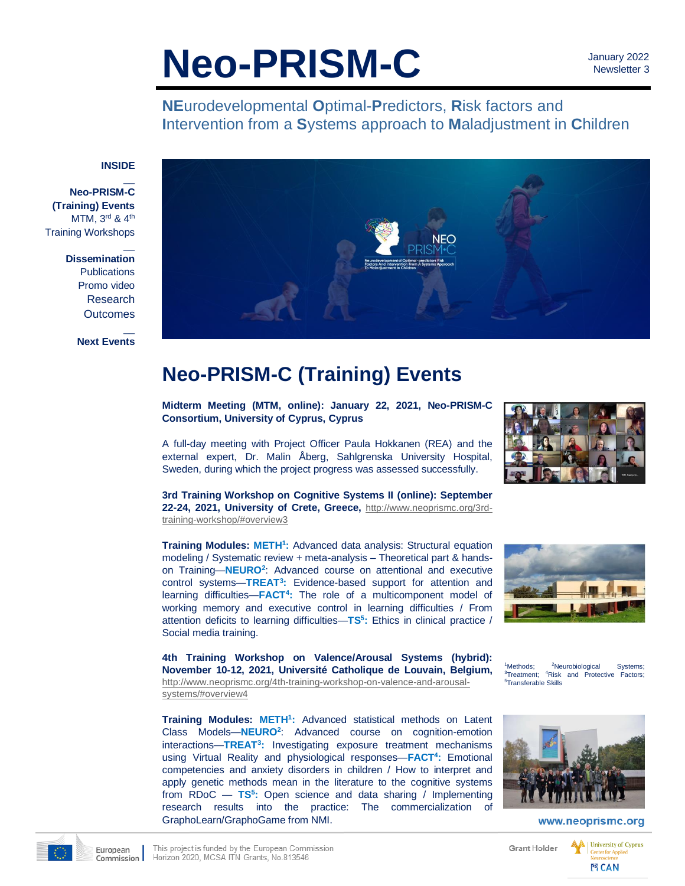# **Neo-PRISM-C**

 January 2022 Newsletter 3

**NE**urodevelopmental **O**ptimal-**P**redictors, **R**isk factors and **I**ntervention from a **S**ystems approach to **M**aladjustment in **C**hildren

#### **INSIDE**

 $\overline{\phantom{a}}$ 

 $\overline{\phantom{a}}$ 

 $\overline{\phantom{a}}$ 

- **Neo-PRISM-C (Training) Events** MTM, 3rd & 4th Training Workshops
	- **Dissemination Publications** Promo video Research **Outcomes**

**Next Events**



## **Neo-PRISM-C (Training) Events**

**Midterm Meeting (MTM, online): January 22, 2021, Neo-PRISM-C Consortium, University of Cyprus, Cyprus**

A full-day meeting with Project Officer Paula Hokkanen (REA) and the external expert, Dr. Malin Åberg, Sahlgrenska University Hospital, Sweden, during which the project progress was assessed successfully.

**3rd Training Workshop on Cognitive Systems II (online): September 22-24, 2021, University of Crete, Greece,** [http://www.neoprismc.org/3rd](http://www.neoprismc.org/3rd-training-workshop/#overview3)[training-workshop/#overview3](http://www.neoprismc.org/3rd-training-workshop/#overview3)

**Training Modules: METH<sup>1</sup> :** Advanced data analysis: Structural equation modeling / Systematic review + meta-analysis – Theoretical part & handson Training—**NEURO<sup>2</sup>** : Advanced course on attentional and executive control systems—**TREAT<sup>3</sup> :** Evidence-based support for attention and learning difficulties—**FACT<sup>4</sup> :** The role of a multicomponent model of working memory and executive control in learning difficulties / From attention deficits to learning difficulties—**TS 5 :** Ethics in clinical practice / Social media training.



**4th Training Workshop on Valence/Arousal Systems (hybrid): November 10-12, 2021, Université Catholique de Louvain, Belgium,** [http://www.](http://www/)neoprismc.org/4th-training-workshop-on-valence-and-arousalsystems/#overview4

**Training Modules: METH<sup>1</sup> :** Advanced statistical methods on Latent Class Models—**NEURO<sup>2</sup>** : Advanced course on cognition-emotion interactions—**TREAT<sup>3</sup> :** Investigating exposure treatment mechanisms using Virtual Reality and physiological responses—**FACT<sup>4</sup> :** Emotional competencies and anxiety disorders in children / How to interpret and apply genetic methods mean in the literature to the cognitive systems from RDoC — **TS 5 :** Open science and data sharing / Implementing research results into the practice: The commercialization of GraphoLearn/GraphoGame from NMI.





www.neoprismc.org